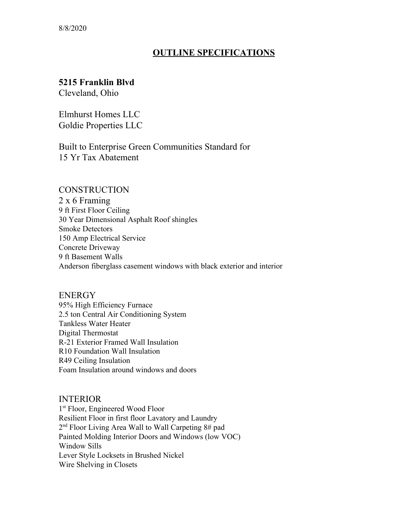# **OUTLINE SPECIFICATIONS**

# **5215 Franklin Blvd**

Cleveland, Ohio

Elmhurst Homes LLC Goldie Properties LLC

Built to Enterprise Green Communities Standard for 15 Yr Tax Abatement

### **CONSTRUCTION**

2 x 6 Framing 9 ft First Floor Ceiling 30 Year Dimensional Asphalt Roof shingles Smoke Detectors 150 Amp Electrical Service Concrete Driveway 9 ft Basement Walls Anderson fiberglass casement windows with black exterior and interior

ENERGY 95% High Efficiency Furnace 2.5 ton Central Air Conditioning System Tankless Water Heater Digital Thermostat R-21 Exterior Framed Wall Insulation R10 Foundation Wall Insulation R49 Ceiling Insulation Foam Insulation around windows and doors

### INTERIOR

1 st Floor, Engineered Wood Floor Resilient Floor in first floor Lavatory and Laundry 2<sup>nd</sup> Floor Living Area Wall to Wall Carpeting 8# pad Painted Molding Interior Doors and Windows (low VOC) Window Sills Lever Style Locksets in Brushed Nickel Wire Shelving in Closets